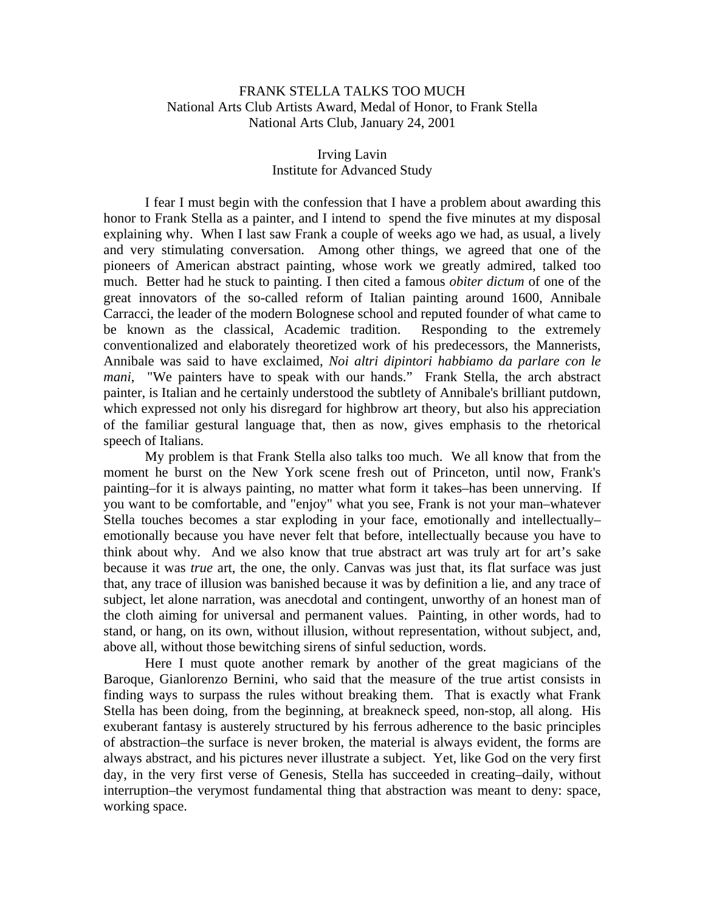## FRANK STELLA TALKS TOO MUCH National Arts Club Artists Award, Medal of Honor, to Frank Stella National Arts Club, January 24, 2001

## Irving Lavin Institute for Advanced Study

 I fear I must begin with the confession that I have a problem about awarding this honor to Frank Stella as a painter, and I intend to spend the five minutes at my disposal explaining why. When I last saw Frank a couple of weeks ago we had, as usual, a lively and very stimulating conversation. Among other things, we agreed that one of the pioneers of American abstract painting, whose work we greatly admired, talked too much. Better had he stuck to painting. I then cited a famous *obiter dictum* of one of the great innovators of the so-called reform of Italian painting around 1600, Annibale Carracci, the leader of the modern Bolognese school and reputed founder of what came to be known as the classical, Academic tradition. Responding to the extremely conventionalized and elaborately theoretized work of his predecessors, the Mannerists, Annibale was said to have exclaimed, *Noi altri dipintori habbiamo da parlare con le mani*, "We painters have to speak with our hands." Frank Stella, the arch abstract painter, is Italian and he certainly understood the subtlety of Annibale's brilliant putdown, which expressed not only his disregard for highbrow art theory, but also his appreciation of the familiar gestural language that, then as now, gives emphasis to the rhetorical speech of Italians.

 My problem is that Frank Stella also talks too much. We all know that from the moment he burst on the New York scene fresh out of Princeton, until now, Frank's painting–for it is always painting, no matter what form it takes–has been unnerving. If you want to be comfortable, and "enjoy" what you see, Frank is not your man–whatever Stella touches becomes a star exploding in your face, emotionally and intellectually– emotionally because you have never felt that before, intellectually because you have to think about why. And we also know that true abstract art was truly art for art's sake because it was *true* art, the one, the only. Canvas was just that, its flat surface was just that, any trace of illusion was banished because it was by definition a lie, and any trace of subject, let alone narration, was anecdotal and contingent, unworthy of an honest man of the cloth aiming for universal and permanent values. Painting, in other words, had to stand, or hang, on its own, without illusion, without representation, without subject, and, above all, without those bewitching sirens of sinful seduction, words.

Here I must quote another remark by another of the great magicians of the Baroque, Gianlorenzo Bernini, who said that the measure of the true artist consists in finding ways to surpass the rules without breaking them. That is exactly what Frank Stella has been doing, from the beginning, at breakneck speed, non-stop, all along. His exuberant fantasy is austerely structured by his ferrous adherence to the basic principles of abstraction–the surface is never broken, the material is always evident, the forms are always abstract, and his pictures never illustrate a subject. Yet, like God on the very first day, in the very first verse of Genesis, Stella has succeeded in creating–daily, without interruption–the verymost fundamental thing that abstraction was meant to deny: space, working space.